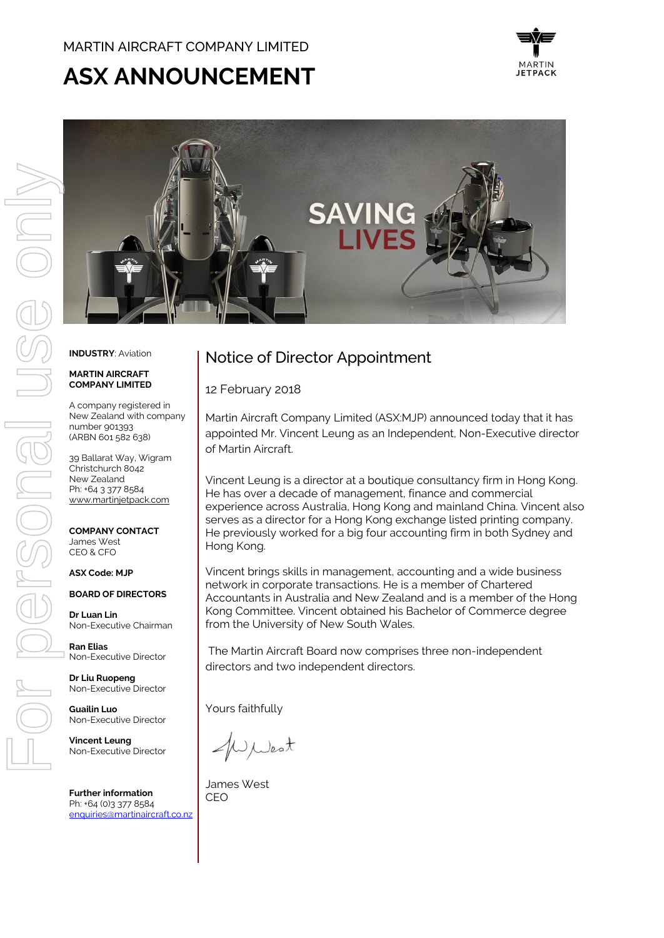## MARTIN AIRCRAFT COMPANY LIMITED

# **ASX ANNOUNCEMENT**





#### **INDUSTRY**: Aviation

#### **MARTIN AIRCRAFT COMPANY LIMITED**

A company registered in New Zealand with company number 901393 (ARBN 601 582 638)

39 Ballarat Way, Wigram Christchurch 8042 New Zealand Ph: +64 3 377 8584 [www.martinjetpack.com](http://www.martinjetpack.com/)

**COMPANY CONTACT** James West CEO & CFO

#### **ASX Code: MJP**

**BOARD OF DIRECTORS**

**Dr Luan Lin** Non-Executive Chairman

**Ran Elias** Non-Executive Director

**Dr Liu Ruopeng**  Non-Executive Director

**Guailin Luo** Non-Executive Director

**Vincent Leung** Non-Executive Director

**Further information** Ph: +64 (0)3 377 8584 [enquiries@martinaircraft.co.nz](mailto:enquiries@martinaircraft.co.nz)

# Notice of Director Appointment

12 February 2018

Martin Aircraft Company Limited (ASX:MJP) announced today that it has appointed Mr. Vincent Leung as an Independent, Non-Executive director of Martin Aircraft.

Vincent Leung is a director at a boutique consultancy firm in Hong Kong. He has over a decade of management, finance and commercial experience across Australia, Hong Kong and mainland China. Vincent also serves as a director for a Hong Kong exchange listed printing company. He previously worked for a big four accounting firm in both Sydney and Hong Kong.

Vincent brings skills in management, accounting and a wide business network in corporate transactions. He is a member of Chartered Accountants in Australia and New Zealand and is a member of the Hong Kong Committee. Vincent obtained his Bachelor of Commerce degree from the University of New South Wales.

The Martin Aircraft Board now comprises three non-independent directors and two independent directors.

Yours faithfully

Ulest

James West CEO